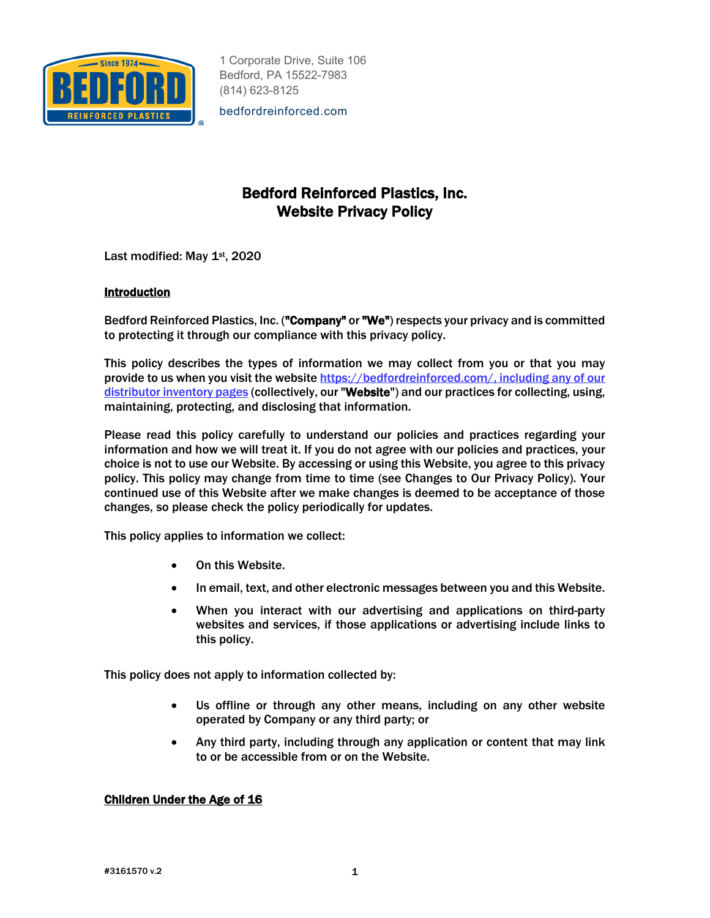

bedfordreinforced.com

# Bedford Reinforced Plastics, Inc. Website Privacy Policy

Last modified: May 1st, 2020

# **Introduction**

Bedford Reinforced Plastics, Inc. ("Company" or "We") respects your privacy and is committed to protecting it through our compliance with this privacy policy.

This policy describes the types of information we may collect from you or that you may provide to us when you visit the website https://bedfordreinforced.com/, including any of our distributor inventory pages (collectively, our "Website") and our practices for collecting, using, maintaining, protecting, and disclosing that information.

Please read this policy carefully to understand our policies and practices regarding your information and how we will treat it. If you do not agree with our policies and practices, your choice is not to use our Website. By accessing or using this Website, you agree to this privacy policy. This policy may change from time to time (see Changes to Our Privacy Policy). Your continued use of this Website after we make changes is deemed to be acceptance of those changes, so please check the policy periodically for updates.

This policy applies to information we collect:

- On this Website.
- In email, text, and other electronic messages between you and this Website.
- When you interact with our advertising and applications on third-party websites and services, if those applications or advertising include links to this policy.

This policy does not apply to information collected by:

- Us offline or through any other means, including on any other website operated by Company or any third party; or
- Any third party, including through any application or content that may link to or be accessible from or on the Website.

# Children Under the Age of 16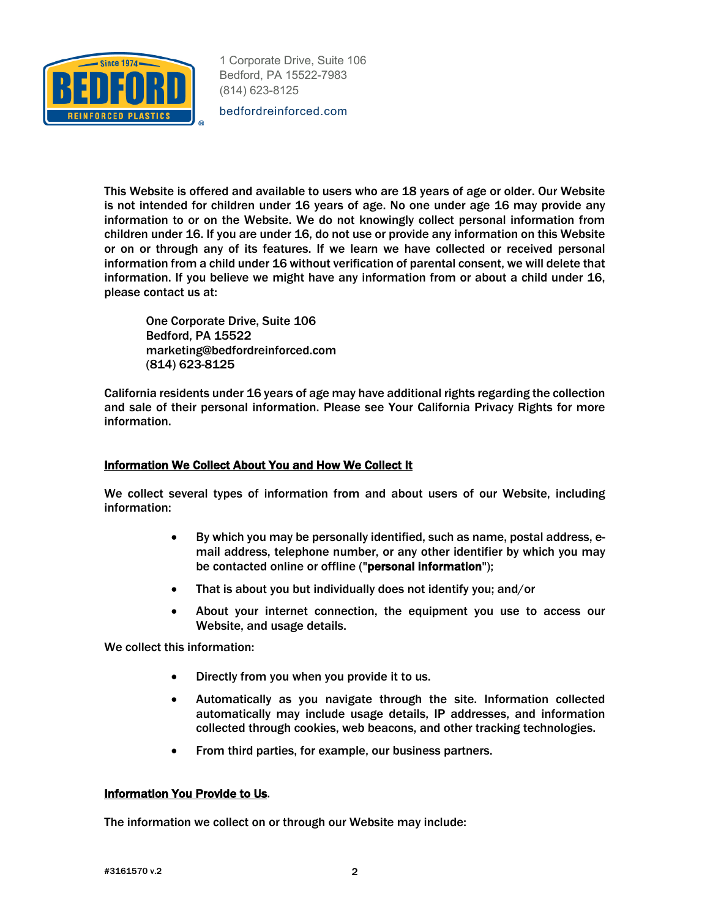

bedfordreinforced.com

This Website is offered and available to users who are 18 years of age or older. Our Website is not intended for children under 16 years of age. No one under age 16 may provide any information to or on the Website. We do not knowingly collect personal information from children under 16. If you are under 16, do not use or provide any information on this Website or on or through any of its features. If we learn we have collected or received personal information from a child under 16 without verification of parental consent, we will delete that information. If you believe we might have any information from or about a child under 16, please contact us at:

One Corporate Drive, Suite 106 Bedford, PA 15522 marketing@bedfordreinforced.com (814) 623-8125

California residents under 16 years of age may have additional rights regarding the collection and sale of their personal information. Please see Your California Privacy Rights for more information.

## Information We Collect About You and How We Collect It

We collect several types of information from and about users of our Website, including information:

- By which you may be personally identified, such as name, postal address, email address, telephone number, or any other identifier by which you may be contacted online or offline ("personal information");
- That is about you but individually does not identify you; and/or
- About your internet connection, the equipment you use to access our Website, and usage details.

We collect this information:

- Directly from you when you provide it to us.
- Automatically as you navigate through the site. Information collected automatically may include usage details, IP addresses, and information collected through cookies, web beacons, and other tracking technologies.
- From third parties, for example, our business partners.

## Information You Provide to Us.

The information we collect on or through our Website may include: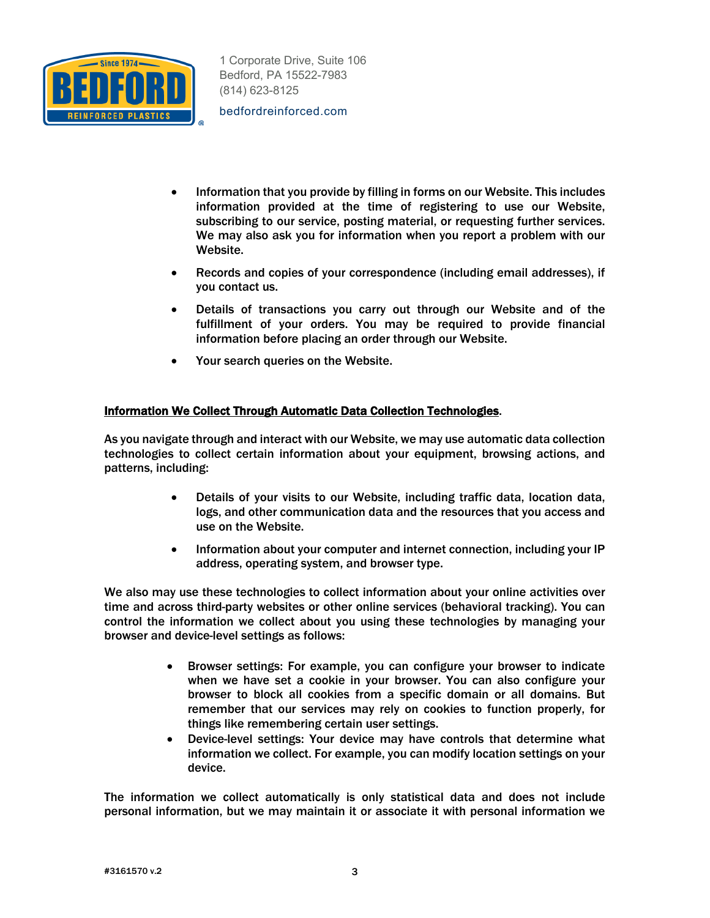

bedfordreinforced.com

- Information that you provide by filling in forms on our Website. This includes information provided at the time of registering to use our Website, subscribing to our service, posting material, or requesting further services. We may also ask you for information when you report a problem with our Website.
- Records and copies of your correspondence (including email addresses), if you contact us.
- Details of transactions you carry out through our Website and of the fulfillment of your orders. You may be required to provide financial information before placing an order through our Website.
- Your search queries on the Website.

# Information We Collect Through Automatic Data Collection Technologies.

As you navigate through and interact with our Website, we may use automatic data collection technologies to collect certain information about your equipment, browsing actions, and patterns, including:

- Details of your visits to our Website, including traffic data, location data, logs, and other communication data and the resources that you access and use on the Website.
- Information about your computer and internet connection, including your IP address, operating system, and browser type.

We also may use these technologies to collect information about your online activities over time and across third-party websites or other online services (behavioral tracking). You can control the information we collect about you using these technologies by managing your browser and device-level settings as follows:

- Browser settings: For example, you can configure your browser to indicate when we have set a cookie in your browser. You can also configure your browser to block all cookies from a specific domain or all domains. But remember that our services may rely on cookies to function properly, for things like remembering certain user settings.
- Device-level settings: Your device may have controls that determine what information we collect. For example, you can modify location settings on your device.

The information we collect automatically is only statistical data and does not include personal information, but we may maintain it or associate it with personal information we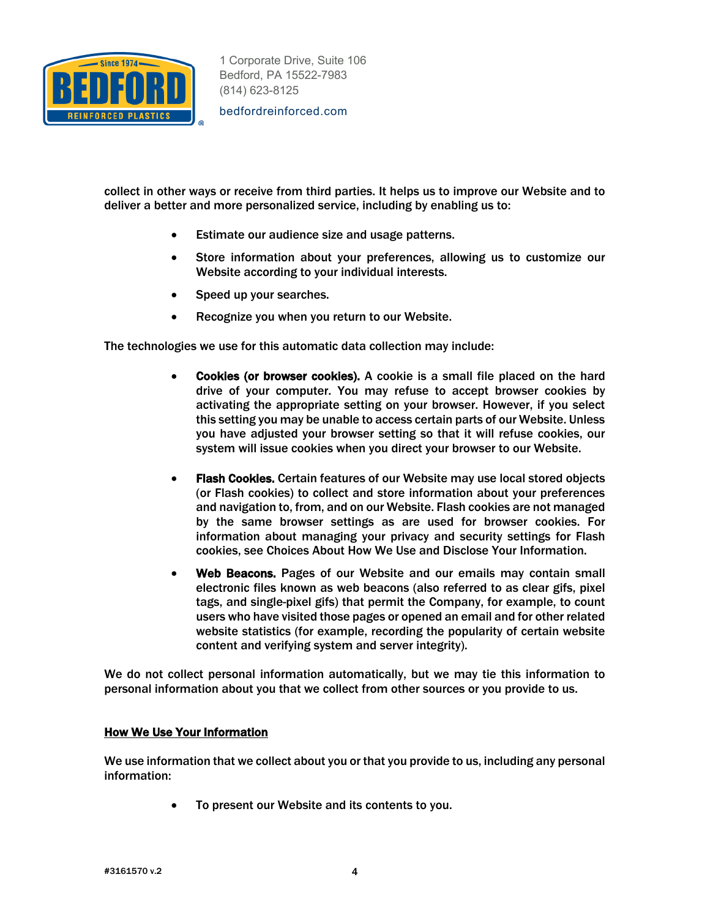

bedfordreinforced.com

collect in other ways or receive from third parties. It helps us to improve our Website and to deliver a better and more personalized service, including by enabling us to:

- Estimate our audience size and usage patterns.
- Store information about your preferences, allowing us to customize our Website according to your individual interests.
- Speed up your searches.
- Recognize you when you return to our Website.

The technologies we use for this automatic data collection may include:

- Cookies (or browser cookies). A cookie is a small file placed on the hard drive of your computer. You may refuse to accept browser cookies by activating the appropriate setting on your browser. However, if you select this setting you may be unable to access certain parts of our Website. Unless you have adjusted your browser setting so that it will refuse cookies, our system will issue cookies when you direct your browser to our Website.
- Flash Cookies. Certain features of our Website may use local stored objects (or Flash cookies) to collect and store information about your preferences and navigation to, from, and on our Website. Flash cookies are not managed by the same browser settings as are used for browser cookies. For information about managing your privacy and security settings for Flash cookies, see Choices About How We Use and Disclose Your Information.
- Web Beacons. Pages of our Website and our emails may contain small electronic files known as web beacons (also referred to as clear gifs, pixel tags, and single-pixel gifs) that permit the Company, for example, to count users who have visited those pages or opened an email and for other related website statistics (for example, recording the popularity of certain website content and verifying system and server integrity).

We do not collect personal information automatically, but we may tie this information to personal information about you that we collect from other sources or you provide to us.

#### How We Use Your Information

We use information that we collect about you or that you provide to us, including any personal information:

To present our Website and its contents to you.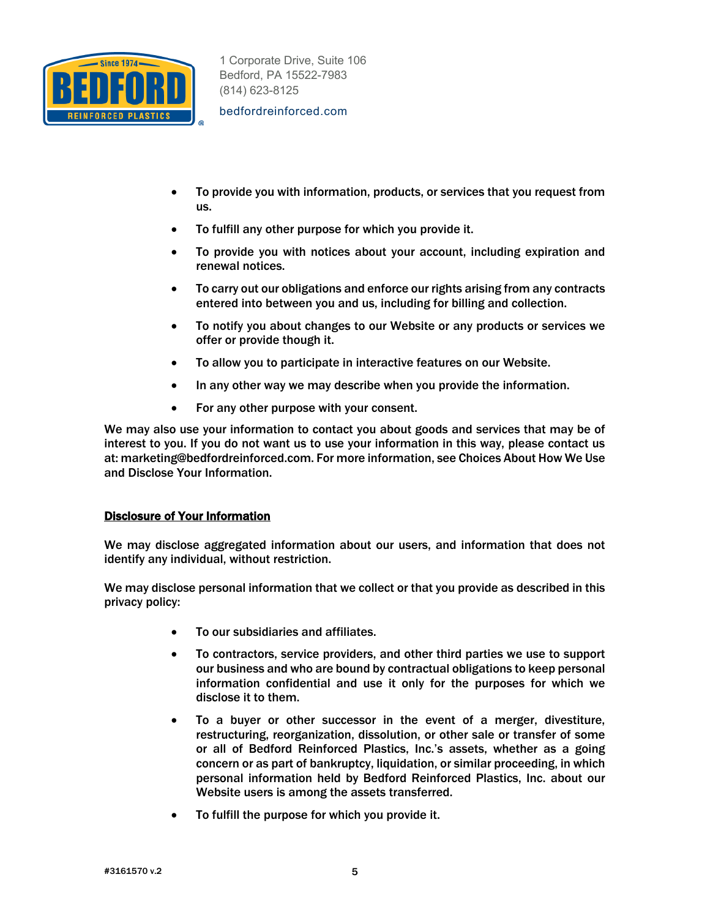

bedfordreinforced.com

- To provide you with information, products, or services that you request from us.
- To fulfill any other purpose for which you provide it.
- To provide you with notices about your account, including expiration and renewal notices.
- To carry out our obligations and enforce our rights arising from any contracts entered into between you and us, including for billing and collection.
- To notify you about changes to our Website or any products or services we offer or provide though it.
- To allow you to participate in interactive features on our Website.
- In any other way we may describe when you provide the information.
- For any other purpose with your consent.

We may also use your information to contact you about goods and services that may be of interest to you. If you do not want us to use your information in this way, please contact us at: marketing@bedfordreinforced.com. For more information, see Choices About How We Use and Disclose Your Information.

## Disclosure of Your Information

We may disclose aggregated information about our users, and information that does not identify any individual, without restriction.

We may disclose personal information that we collect or that you provide as described in this privacy policy:

- To our subsidiaries and affiliates.
- To contractors, service providers, and other third parties we use to support our business and who are bound by contractual obligations to keep personal information confidential and use it only for the purposes for which we disclose it to them.
- To a buyer or other successor in the event of a merger, divestiture, restructuring, reorganization, dissolution, or other sale or transfer of some or all of Bedford Reinforced Plastics, Inc.'s assets, whether as a going concern or as part of bankruptcy, liquidation, or similar proceeding, in which personal information held by Bedford Reinforced Plastics, Inc. about our Website users is among the assets transferred.
- To fulfill the purpose for which you provide it.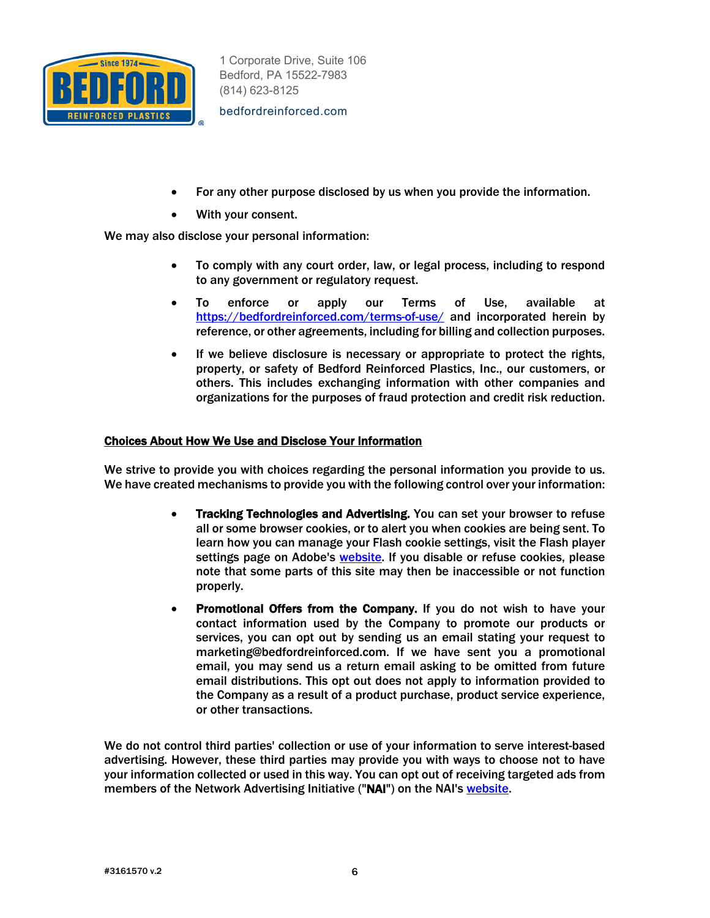

bedfordreinforced.com

- For any other purpose disclosed by us when you provide the information.
- With your consent.

We may also disclose your personal information:

- To comply with any court order, law, or legal process, including to respond to any government or regulatory request.
- To enforce or apply our Terms of Use, available at https://bedfordreinforced.com/terms-of-use/ and incorporated herein by reference, or other agreements, including for billing and collection purposes.
- If we believe disclosure is necessary or appropriate to protect the rights, property, or safety of Bedford Reinforced Plastics, Inc., our customers, or others. This includes exchanging information with other companies and organizations for the purposes of fraud protection and credit risk reduction.

## Choices About How We Use and Disclose Your Information

We strive to provide you with choices regarding the personal information you provide to us. We have created mechanisms to provide you with the following control over your information:

- Tracking Technologies and Advertising. You can set your browser to refuse all or some browser cookies, or to alert you when cookies are being sent. To learn how you can manage your Flash cookie settings, visit the Flash player settings page on Adobe's website. If you disable or refuse cookies, please note that some parts of this site may then be inaccessible or not function properly.
- Promotional Offers from the Company. If you do not wish to have your contact information used by the Company to promote our products or services, you can opt out by sending us an email stating your request to marketing@bedfordreinforced.com. If we have sent you a promotional email, you may send us a return email asking to be omitted from future email distributions. This opt out does not apply to information provided to the Company as a result of a product purchase, product service experience, or other transactions.

We do not control third parties' collection or use of your information to serve interest-based advertising. However, these third parties may provide you with ways to choose not to have your information collected or used in this way. You can opt out of receiving targeted ads from members of the Network Advertising Initiative ("NAI") on the NAI's website.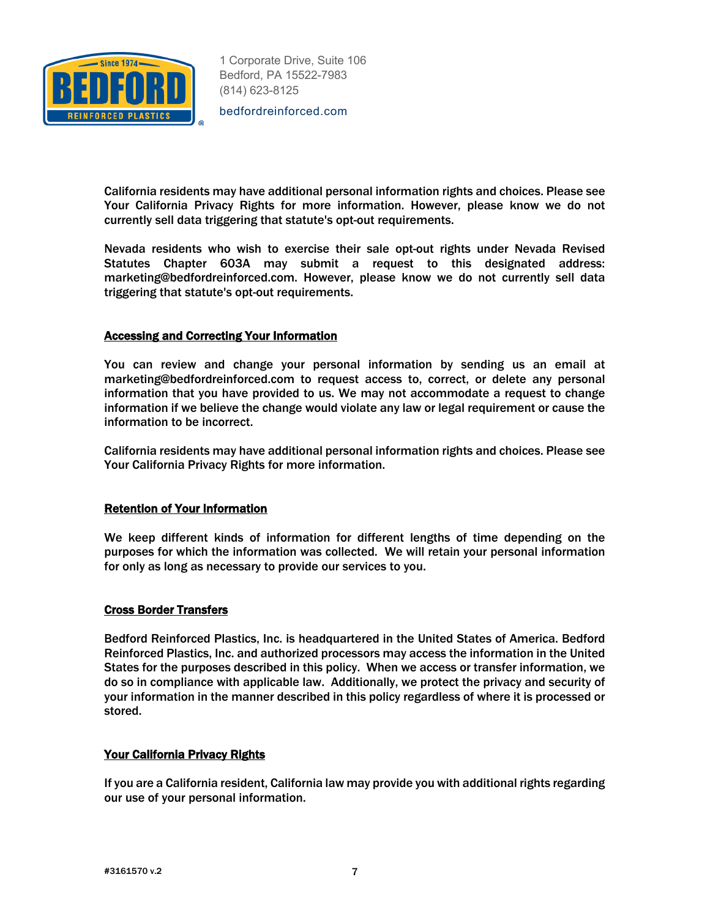

bedfordreinforced.com

California residents may have additional personal information rights and choices. Please see Your California Privacy Rights for more information. However, please know we do not currently sell data triggering that statute's opt-out requirements.

Nevada residents who wish to exercise their sale opt-out rights under Nevada Revised Statutes Chapter 603A may submit a request to this designated address: marketing@bedfordreinforced.com. However, please know we do not currently sell data triggering that statute's opt-out requirements.

#### Accessing and Correcting Your Information

You can review and change your personal information by sending us an email at marketing@bedfordreinforced.com to request access to, correct, or delete any personal information that you have provided to us. We may not accommodate a request to change information if we believe the change would violate any law or legal requirement or cause the information to be incorrect.

California residents may have additional personal information rights and choices. Please see Your California Privacy Rights for more information.

#### Retention of Your Information

We keep different kinds of information for different lengths of time depending on the purposes for which the information was collected. We will retain your personal information for only as long as necessary to provide our services to you.

#### Cross Border Transfers

Bedford Reinforced Plastics, Inc. is headquartered in the United States of America. Bedford Reinforced Plastics, Inc. and authorized processors may access the information in the United States for the purposes described in this policy. When we access or transfer information, we do so in compliance with applicable law. Additionally, we protect the privacy and security of your information in the manner described in this policy regardless of where it is processed or stored.

## Your California Privacy Rights

If you are a California resident, California law may provide you with additional rights regarding our use of your personal information.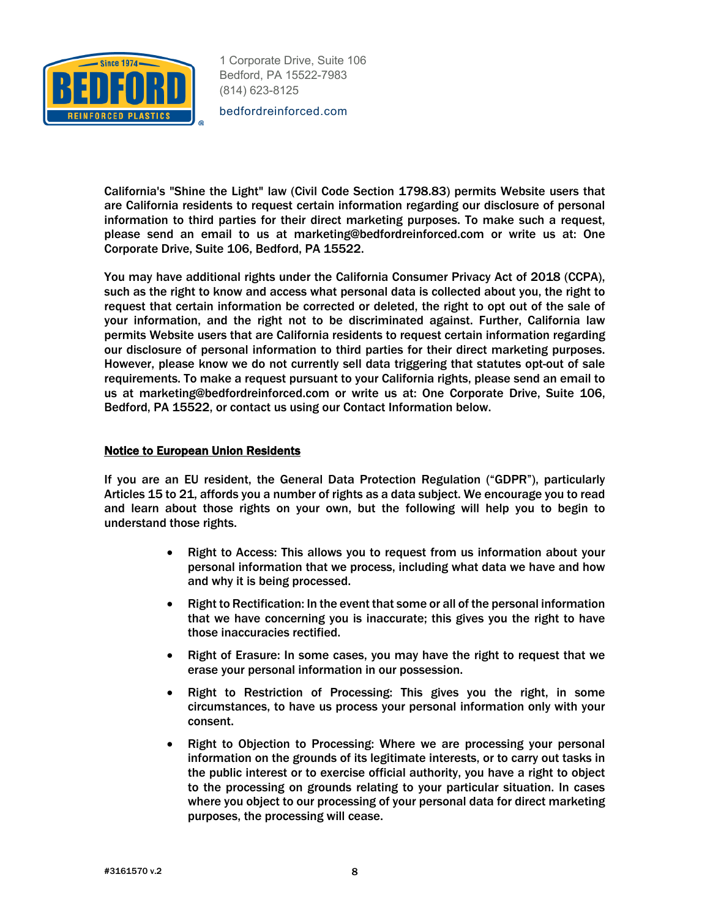

bedfordreinforced.com

California's "Shine the Light" law (Civil Code Section 1798.83) permits Website users that are California residents to request certain information regarding our disclosure of personal information to third parties for their direct marketing purposes. To make such a request, please send an email to us at marketing@bedfordreinforced.com or write us at: One Corporate Drive, Suite 106, Bedford, PA 15522.

You may have additional rights under the California Consumer Privacy Act of 2018 (CCPA), such as the right to know and access what personal data is collected about you, the right to request that certain information be corrected or deleted, the right to opt out of the sale of your information, and the right not to be discriminated against. Further, California law permits Website users that are California residents to request certain information regarding our disclosure of personal information to third parties for their direct marketing purposes. However, please know we do not currently sell data triggering that statutes opt-out of sale requirements. To make a request pursuant to your California rights, please send an email to us at marketing@bedfordreinforced.com or write us at: One Corporate Drive, Suite 106, Bedford, PA 15522, or contact us using our Contact Information below.

#### Notice to European Union Residents

If you are an EU resident, the General Data Protection Regulation ("GDPR"), particularly Articles 15 to 21, affords you a number of rights as a data subject. We encourage you to read and learn about those rights on your own, but the following will help you to begin to understand those rights.

- Right to Access: This allows you to request from us information about your personal information that we process, including what data we have and how and why it is being processed.
- Right to Rectification: In the event that some or all of the personal information that we have concerning you is inaccurate; this gives you the right to have those inaccuracies rectified.
- Right of Erasure: In some cases, you may have the right to request that we erase your personal information in our possession.
- Right to Restriction of Processing: This gives you the right, in some circumstances, to have us process your personal information only with your consent.
- Right to Objection to Processing: Where we are processing your personal information on the grounds of its legitimate interests, or to carry out tasks in the public interest or to exercise official authority, you have a right to object to the processing on grounds relating to your particular situation. In cases where you object to our processing of your personal data for direct marketing purposes, the processing will cease.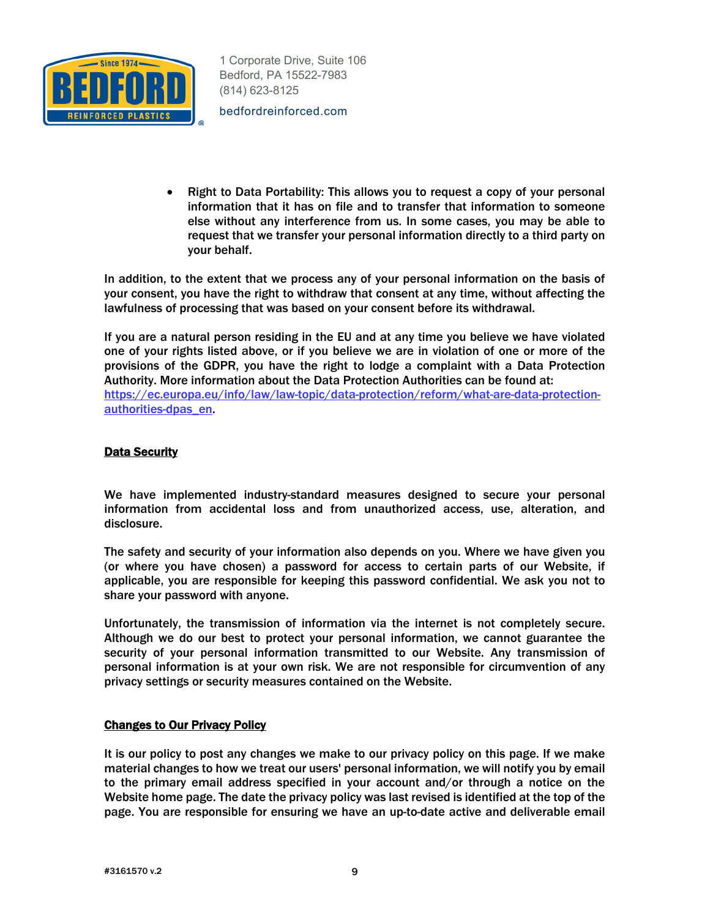

bedfordreinforced.com

• Right to Data Portability: This allows you to request a copy of your personal information that it has on file and to transfer that information to someone else without any interference from us. In some cases, you may be able to request that we transfer your personal information directly to a third party on your behalf.

In addition, to the extent that we process any of your personal information on the basis of your consent, you have the right to withdraw that consent at any time, without affecting the lawfulness of processing that was based on your consent before its withdrawal.

If you are a natural person residing in the EU and at any time you believe we have violated one of your rights listed above, or if you believe we are in violation of one or more of the provisions of the GDPR, you have the right to lodge a complaint with a Data Protection Authority. More information about the Data Protection Authorities can be found at: https://ec.europa.eu/info/law/law-topic/data-protection/reform/what-are-data-protectionauthorities-dpas\_en.

# **Data Security**

We have implemented industry-standard measures designed to secure your personal information from accidental loss and from unauthorized access, use, alteration, and disclosure.

The safety and security of your information also depends on you. Where we have given you (or where you have chosen) a password for access to certain parts of our Website, if applicable, you are responsible for keeping this password confidential. We ask you not to share your password with anyone.

Unfortunately, the transmission of information via the internet is not completely secure. Although we do our best to protect your personal information, we cannot guarantee the security of your personal information transmitted to our Website. Any transmission of personal information is at your own risk. We are not responsible for circumvention of any privacy settings or security measures contained on the Website.

## Changes to Our Privacy Policy

It is our policy to post any changes we make to our privacy policy on this page. If we make material changes to how we treat our users' personal information, we will notify you by email to the primary email address specified in your account and/or through a notice on the Website home page. The date the privacy policy was last revised is identified at the top of the page. You are responsible for ensuring we have an up-to-date active and deliverable email